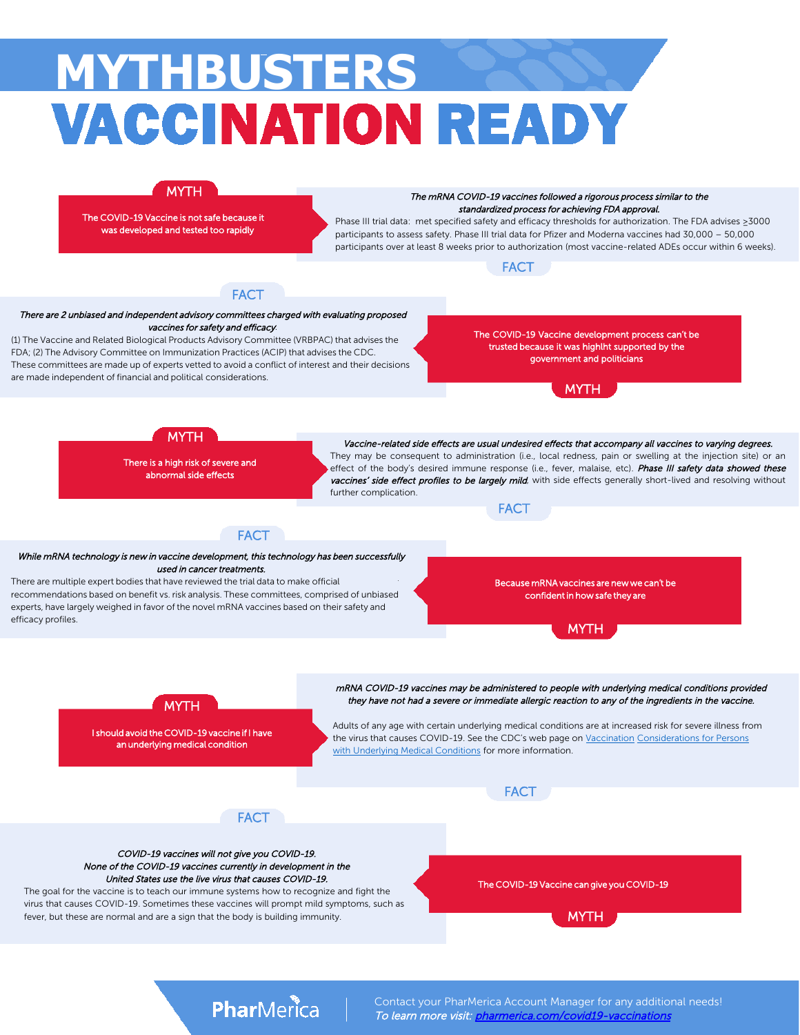# **MYTHBUSTERS VACCINATION READY**



The COVID-19 Vaccine is not safe because it was developed and tested too rapidly

The mRNA COVID-19 vaccines followed a rigorous process similar to the standardized process for achieving FDA approval.

Phase III trial data: met specified safety and efficacy thresholds for authorization. The FDA advises ≥3000 participants to assess safety. Phase III trial data for Pfizer and Moderna vaccines had 30,000 – 50,000 participants over at least 8 weeks prior to authorization (most vaccine-related ADEs occur within 6 weeks).





#### There are 2 unbiased and independent advisory committees charged with evaluating proposed vaccines for safety and efficacy:

(1) The Vaccine and Related Biological Products Advisory Committee (VRBPAC) that advises the FDA; (2) The Advisory Committee on Immunization Practices (ACIP) that advises the CDC. These committees are made up of experts vetted to avoid a conflict of interest and their decisions are made independent of financial and political considerations.

The COVID-19 Vaccine development process can't be trusted because it was highlht supported by the government and politicians





There is a high risk of severe and abnormal side effects

Vaccine-related side effects are usual undesired effects that accompany all vaccines to varying degrees. They may be consequent to administration (i.e., local redness, pain or swelling at the injection site) or an effect of the body's desired immune response (i.e., fever, malaise, etc). Phase III safety data showed these vaccines' side effect profiles to be largely mild, with side effects generally short-lived and resolving without further complication.



#### While mRNA technology is new in vaccine development, this technology has been successfully used in cancer treatments.

**FACT** 

There are multiple expert bodies that have reviewed the trial data to make official recommendations based on benefit vs. risk analysis. These committees, comprised of unbiased experts, have largely weighed in favor of the novel mRNA vaccines based on their safety and efficacy profiles.

Because mRNA vaccines are new we can't be confident in how safe they are

MYTH



I should avoid the COVID-19 vaccine if I have an underlying medical condition

Adults of any age with certain underlying medical conditions are at increased risk for severe illness from the virus that causes COVID-19. See the CDC's web page on Vaccination Considerations for Persons with Underlying Medical Conditions for more information.

**FACT** 

mRNA COVID-19 vaccines may be administered to people with underlying medical conditions provided they have not had a severe or immediate allergic reaction to any of the ingredients in the vaccine.



#### COVID-19 vaccines will not give you COVID-19. None of the COVID-19 vaccines currently in development in the United States use the live virus that causes COVID-19.

The goal for the vaccine is to teach our immune systems how to recognize and fight the virus that causes COVID-19. Sometimes these vaccines will prompt mild symptoms, such as fever, but these are normal and are a sign that the body is building immunity.

The COVID-19 Vaccine can give you COVID-19



# PharMerica

Contact your PharMerica Account Manager for any additional needs! To learn more visit: [pharmerica.com/covid19-v](http://pharmerica.com/covid19)accinations